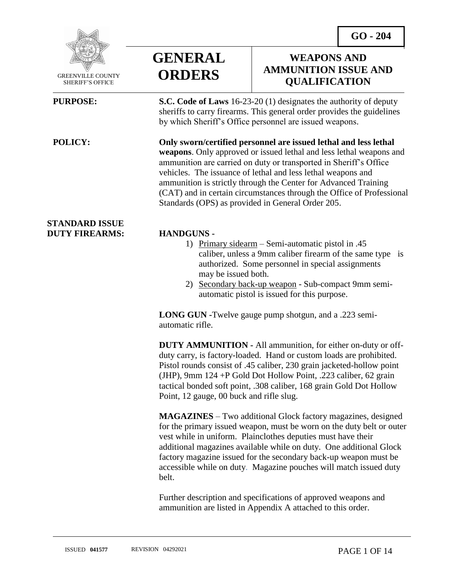**WEAPONS AND AMMUNITION ISSUE AND QUALIFICATION**



 GREENVILLE COUNTY SHERIFF'S OFFICE

 $\overline{a}$ 

### **STANDARD ISSUE DUTY FIREARMS: HANDGUNS -**



**PURPOSE: S.C. Code of Laws** 16-23-20 (1) designates the authority of deputy sheriffs to carry firearms. This general order provides the guidelines by which Sheriff's Office personnel are issued weapons.

**POLICY: Only sworn/certified personnel are issued lethal and less lethal weapons**. Only approved or issued lethal and less lethal weapons and ammunition are carried on duty or transported in Sheriff's Office vehicles. The issuance of lethal and less lethal weapons and ammunition is strictly through the Center for Advanced Training (CAT) and in certain circumstances through the Office of Professional Standards (OPS) as provided in General Order 205.

- 1) Primary sidearm Semi-automatic pistol in .45 caliber, unless a 9mm caliber firearm of the same type is authorized. Some personnel in special assignments may be issued both.
- 2) Secondary back-up weapon Sub-compact 9mm semiautomatic pistol is issued for this purpose.

**LONG GUN -**Twelve gauge pump shotgun, and a .223 semiautomatic rifle.

**DUTY AMMUNITION -** All ammunition, for either on-duty or offduty carry, is factory-loaded. Hand or custom loads are prohibited. Pistol rounds consist of .45 caliber, 230 grain jacketed-hollow point (JHP), 9mm 124 +P Gold Dot Hollow Point, .223 caliber, 62 grain tactical bonded soft point, .308 caliber, 168 grain Gold Dot Hollow Point, 12 gauge, 00 buck and rifle slug.

**MAGAZINES** – Two additional Glock factory magazines, designed for the primary issued weapon, must be worn on the duty belt or outer vest while in uniform. Plainclothes deputies must have their additional magazines available while on duty. One additional Glock factory magazine issued for the secondary back-up weapon must be accessible while on duty. Magazine pouches will match issued duty belt.

Further description and specifications of approved weapons and ammunition are listed in Appendix A attached to this order.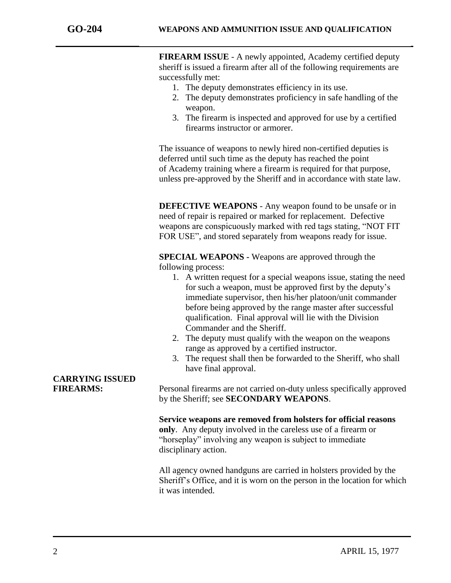**FIREARM ISSUE** - A newly appointed, Academy certified deputy sheriff is issued a firearm after all of the following requirements are successfully met:

- 1. The deputy demonstrates efficiency in its use.
- 2. The deputy demonstrates proficiency in safe handling of the weapon.
- 3. The firearm is inspected and approved for use by a certified firearms instructor or armorer.

The issuance of weapons to newly hired non-certified deputies is deferred until such time as the deputy has reached the point of Academy training where a firearm is required for that purpose, unless pre-approved by the Sheriff and in accordance with state law.

**DEFECTIVE WEAPONS** - Any weapon found to be unsafe or in need of repair is repaired or marked for replacement. Defective weapons are conspicuously marked with red tags stating, "NOT FIT FOR USE", and stored separately from weapons ready for issue.

**SPECIAL WEAPONS -** Weapons are approved through the following process:

- 1. A written request for a special weapons issue, stating the need for such a weapon, must be approved first by the deputy's immediate supervisor, then his/her platoon/unit commander before being approved by the range master after successful qualification. Final approval will lie with the Division Commander and the Sheriff.
- 2. The deputy must qualify with the weapon on the weapons range as approved by a certified instructor.
- 3. The request shall then be forwarded to the Sheriff, who shall have final approval.

**FIREARMS:** Personal firearms are not carried on-duty unless specifically approved by the Sheriff; see **SECONDARY WEAPONS**.

> **Service weapons are removed from holsters for official reasons only**. Any deputy involved in the careless use of a firearm or "horseplay" involving any weapon is subject to immediate disciplinary action.

All agency owned handguns are carried in holsters provided by the Sheriff's Office, and it is worn on the person in the location for which it was intended.

# **CARRYING ISSUED**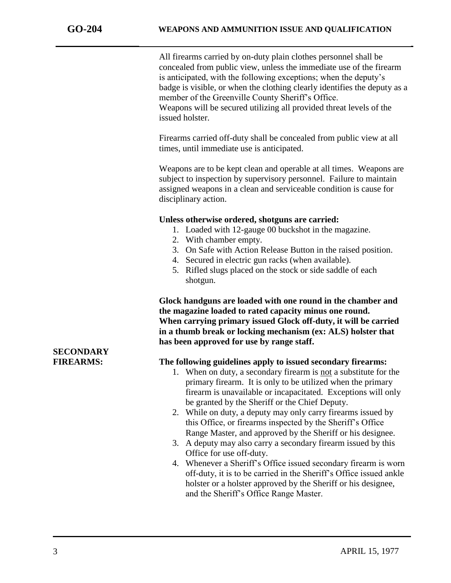All firearms carried by on-duty plain clothes personnel shall be concealed from public view, unless the immediate use of the firearm is anticipated, with the following exceptions; when the deputy's badge is visible, or when the clothing clearly identifies the deputy as a member of the Greenville County Sheriff's Office. Weapons will be secured utilizing all provided threat levels of the issued holster.

Firearms carried off-duty shall be concealed from public view at all times, until immediate use is anticipated.

Weapons are to be kept clean and operable at all times. Weapons are subject to inspection by supervisory personnel. Failure to maintain assigned weapons in a clean and serviceable condition is cause for disciplinary action.

### **Unless otherwise ordered, shotguns are carried:**

- 1. Loaded with 12-gauge 00 buckshot in the magazine.
- 2. With chamber empty.
- 3. On Safe with Action Release Button in the raised position.
- 4. Secured in electric gun racks (when available).
- 5. Rifled slugs placed on the stock or side saddle of each shotgun.

**Glock handguns are loaded with one round in the chamber and the magazine loaded to rated capacity minus one round. When carrying primary issued Glock off-duty, it will be carried in a thumb break or locking mechanism (ex: ALS) holster that has been approved for use by range staff.**

### **FIREARMS: The following guidelines apply to issued secondary firearms:**

- 1. When on duty, a secondary firearm is not a substitute for the primary firearm. It is only to be utilized when the primary firearm is unavailable or incapacitated. Exceptions will only be granted by the Sheriff or the Chief Deputy.
- 2. While on duty, a deputy may only carry firearms issued by this Office, or firearms inspected by the Sheriff's Office Range Master, and approved by the Sheriff or his designee.
- 3. A deputy may also carry a secondary firearm issued by this Office for use off-duty.
- 4. Whenever a Sheriff's Office issued secondary firearm is worn off-duty, it is to be carried in the Sheriff's Office issued ankle holster or a holster approved by the Sheriff or his designee, and the Sheriff's Office Range Master.

## **SECONDARY**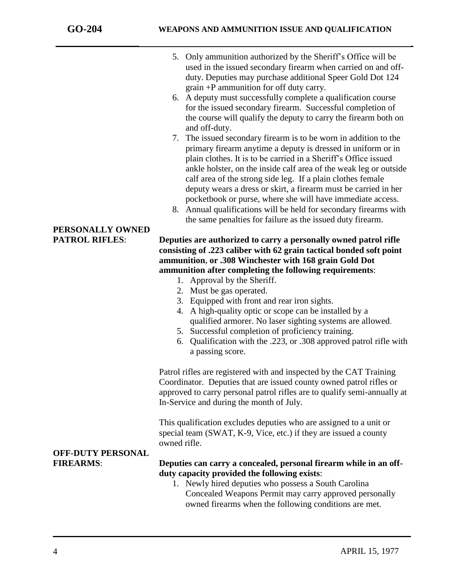- 5. Only ammunition authorized by the Sheriff's Office will be used in the issued secondary firearm when carried on and offduty. Deputies may purchase additional Speer Gold Dot 124 grain +P ammunition for off duty carry.
- 6. A deputy must successfully complete a qualification course for the issued secondary firearm. Successful completion of the course will qualify the deputy to carry the firearm both on and off-duty.
- 7. The issued secondary firearm is to be worn in addition to the primary firearm anytime a deputy is dressed in uniform or in plain clothes. It is to be carried in a Sheriff's Office issued ankle holster, on the inside calf area of the weak leg or outside calf area of the strong side leg. If a plain clothes female deputy wears a dress or skirt, a firearm must be carried in her pocketbook or purse, where she will have immediate access.
- 8. Annual qualifications will be held for secondary firearms with the same penalties for failure as the issued duty firearm.

### **PATROL RIFLES**: **Deputies are authorized to carry a personally owned patrol rifle consisting of .223 caliber with 62 grain tactical bonded soft point ammunition, or .308 Winchester with 168 grain Gold Dot ammunition after completing the following requirements**:

- 1. Approval by the Sheriff.
- 2. Must be gas operated.
- 3. Equipped with front and rear iron sights.
- 4. A high-quality optic or scope can be installed by a qualified armorer. No laser sighting systems are allowed.
- 5. Successful completion of proficiency training.
- 6. Qualification with the .223, or .308 approved patrol rifle with a passing score.

Patrol rifles are registered with and inspected by the CAT Training Coordinator. Deputies that are issued county owned patrol rifles or approved to carry personal patrol rifles are to qualify semi-annually at In-Service and during the month of July.

This qualification excludes deputies who are assigned to a unit or special team (SWAT, K-9, Vice, etc.) if they are issued a county owned rifle.

### **FIREARMS**: **Deputies can carry a concealed, personal firearm while in an offduty capacity provided the following exists**:

1. Newly hired deputies who possess a South Carolina Concealed Weapons Permit may carry approved personally owned firearms when the following conditions are met.

## **PERSONALLY OWNED**

**OFF-DUTY PERSONAL**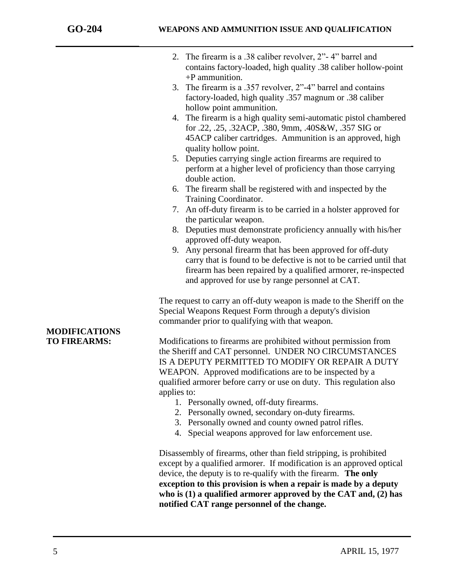| 2. The firearm is a .38 caliber revolver, 2"-4" barrel and<br>contains factory-loaded, high quality .38 caliber hollow-point<br>$+P$ ammunition.                                                                                                                                                                               |
|--------------------------------------------------------------------------------------------------------------------------------------------------------------------------------------------------------------------------------------------------------------------------------------------------------------------------------|
| The firearm is a .357 revolver, 2"-4" barrel and contains<br>3.<br>factory-loaded, high quality .357 magnum or .38 caliber                                                                                                                                                                                                     |
| hollow point ammunition.<br>4. The firearm is a high quality semi-automatic pistol chambered<br>for .22, .25, .32ACP, .380, 9mm, .40S&W, .357 SIG or<br>45ACP caliber cartridges. Ammunition is an approved, high                                                                                                              |
| quality hollow point.<br>Deputies carrying single action firearms are required to<br>5.<br>perform at a higher level of proficiency than those carrying<br>double action.                                                                                                                                                      |
| 6. The firearm shall be registered with and inspected by the<br>Training Coordinator.                                                                                                                                                                                                                                          |
| An off-duty firearm is to be carried in a holster approved for<br>7.<br>the particular weapon.                                                                                                                                                                                                                                 |
| 8. Deputies must demonstrate proficiency annually with his/her<br>approved off-duty weapon.                                                                                                                                                                                                                                    |
| Any personal firearm that has been approved for off-duty<br>9.<br>carry that is found to be defective is not to be carried until that<br>firearm has been repaired by a qualified armorer, re-inspected<br>and approved for use by range personnel at CAT.                                                                     |
| The request to carry an off-duty weapon is made to the Sheriff on the<br>Special Weapons Request Form through a deputy's division<br>commander prior to qualifying with that weapon.                                                                                                                                           |
| Modifications to firearms are prohibited without permission from<br>the Sheriff and CAT personnel. UNDER NO CIRCUMSTANCES<br>IS A DEPUTY PERMITTED TO MODIFY OR REPAIR A DUTY<br>WEAPON. Approved modifications are to be inspected by a<br>qualified armorer before carry or use on duty. This regulation also<br>applies to: |
| 1. Personally owned, off-duty firearms.<br>2. Personally owned, secondary on-duty firearms.<br>3. Personally owned and county owned patrol rifles.<br>4. Special weapons approved for law enforcement use.                                                                                                                     |
| Disassamply of $f_{\text{uncomm}}$ other than field stripping is much hited                                                                                                                                                                                                                                                    |

Disassembly of firearms, other than field stripping, is prohibited except by a qualified armorer. If modification is an approved optical device, the deputy is to re-qualify with the firearm. **The only exception to this provision is when a repair is made by a deputy who is (1) a qualified armorer approved by the CAT and, (2) has notified CAT range personnel of the change.**

### **MODIFICATIONS TO FIREARMS:**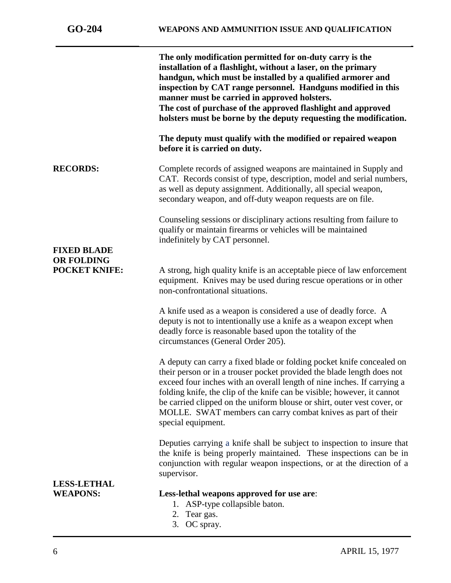|                                           | The only modification permitted for on-duty carry is the<br>installation of a flashlight, without a laser, on the primary<br>handgun, which must be installed by a qualified armorer and<br>inspection by CAT range personnel. Handguns modified in this<br>manner must be carried in approved holsters.<br>The cost of purchase of the approved flashlight and approved<br>holsters must be borne by the deputy requesting the modification.                          |
|-------------------------------------------|------------------------------------------------------------------------------------------------------------------------------------------------------------------------------------------------------------------------------------------------------------------------------------------------------------------------------------------------------------------------------------------------------------------------------------------------------------------------|
|                                           | The deputy must qualify with the modified or repaired weapon<br>before it is carried on duty.                                                                                                                                                                                                                                                                                                                                                                          |
| <b>RECORDS:</b>                           | Complete records of assigned weapons are maintained in Supply and<br>CAT. Records consist of type, description, model and serial numbers,<br>as well as deputy assignment. Additionally, all special weapon,<br>secondary weapon, and off-duty weapon requests are on file.                                                                                                                                                                                            |
|                                           | Counseling sessions or disciplinary actions resulting from failure to<br>qualify or maintain firearms or vehicles will be maintained<br>indefinitely by CAT personnel.                                                                                                                                                                                                                                                                                                 |
| <b>FIXED BLADE</b>                        |                                                                                                                                                                                                                                                                                                                                                                                                                                                                        |
| <b>OR FOLDING</b><br><b>POCKET KNIFE:</b> | A strong, high quality knife is an acceptable piece of law enforcement<br>equipment. Knives may be used during rescue operations or in other<br>non-confrontational situations.                                                                                                                                                                                                                                                                                        |
|                                           | A knife used as a weapon is considered a use of deadly force. A<br>deputy is not to intentionally use a knife as a weapon except when<br>deadly force is reasonable based upon the totality of the<br>circumstances (General Order 205).                                                                                                                                                                                                                               |
|                                           | A deputy can carry a fixed blade or folding pocket knife concealed on<br>their person or in a trouser pocket provided the blade length does not<br>exceed four inches with an overall length of nine inches. If carrying a<br>folding knife, the clip of the knife can be visible; however, it cannot<br>be carried clipped on the uniform blouse or shirt, outer vest cover, or<br>MOLLE. SWAT members can carry combat knives as part of their<br>special equipment. |
|                                           | Deputies carrying a knife shall be subject to inspection to insure that<br>the knife is being properly maintained. These inspections can be in<br>conjunction with regular weapon inspections, or at the direction of a<br>supervisor.                                                                                                                                                                                                                                 |
| <b>LESS-LETHAL</b>                        |                                                                                                                                                                                                                                                                                                                                                                                                                                                                        |
| <b>WEAPONS:</b>                           | Less-lethal weapons approved for use are:<br>1. ASP-type collapsible baton.<br>2. Tear gas.                                                                                                                                                                                                                                                                                                                                                                            |

3. OC spray.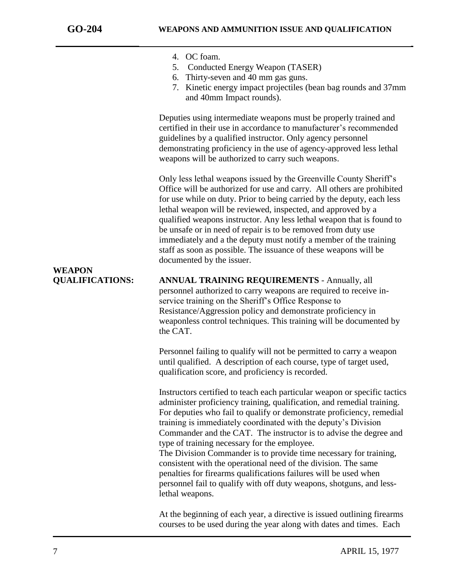- 4. OC foam.
- 5. Conducted Energy Weapon (TASER)
- 6. Thirty-seven and 40 mm gas guns.
- 7. Kinetic energy impact projectiles (bean bag rounds and 37mm and 40mm Impact rounds).

Deputies using intermediate weapons must be properly trained and certified in their use in accordance to manufacturer's recommended guidelines by a qualified instructor. Only agency personnel demonstrating proficiency in the use of agency-approved less lethal weapons will be authorized to carry such weapons.

Only less lethal weapons issued by the Greenville County Sheriff's Office will be authorized for use and carry. All others are prohibited for use while on duty. Prior to being carried by the deputy, each less lethal weapon will be reviewed, inspected, and approved by a qualified weapons instructor. Any less lethal weapon that is found to be unsafe or in need of repair is to be removed from duty use immediately and a the deputy must notify a member of the training staff as soon as possible. The issuance of these weapons will be documented by the issuer.

## **WEAPON**

**QUALIFICATIONS: ANNUAL TRAINING REQUIREMENTS** - Annually, all personnel authorized to carry weapons are required to receive inservice training on the Sheriff's Office Response to Resistance/Aggression policy and demonstrate proficiency in weaponless control techniques. This training will be documented by the CAT.

> Personnel failing to qualify will not be permitted to carry a weapon until qualified. A description of each course, type of target used, qualification score, and proficiency is recorded.

Instructors certified to teach each particular weapon or specific tactics administer proficiency training, qualification, and remedial training. For deputies who fail to qualify or demonstrate proficiency, remedial training is immediately coordinated with the deputy's Division Commander and the CAT. The instructor is to advise the degree and type of training necessary for the employee.

The Division Commander is to provide time necessary for training, consistent with the operational need of the division. The same penalties for firearms qualifications failures will be used when personnel fail to qualify with off duty weapons, shotguns, and lesslethal weapons.

At the beginning of each year, a directive is issued outlining firearms courses to be used during the year along with dates and times. Each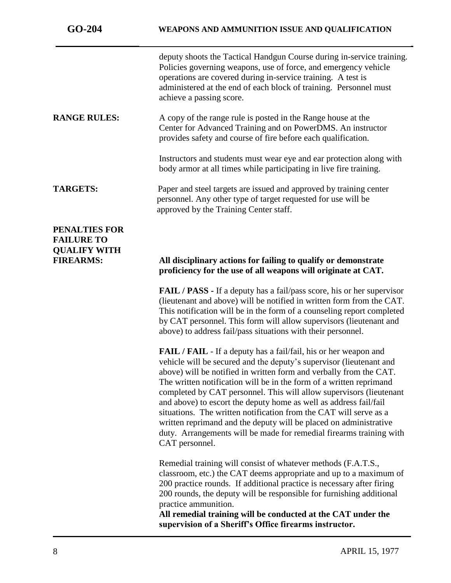| $GO-204$                                                                             | WEAPONS AND AMMUNITION ISSUE AND QUALIFICATION                                                                                                                                                                                                                                                                                                                                                                                                                                                                                                                                                                                                                                    |
|--------------------------------------------------------------------------------------|-----------------------------------------------------------------------------------------------------------------------------------------------------------------------------------------------------------------------------------------------------------------------------------------------------------------------------------------------------------------------------------------------------------------------------------------------------------------------------------------------------------------------------------------------------------------------------------------------------------------------------------------------------------------------------------|
|                                                                                      | deputy shoots the Tactical Handgun Course during in-service training.<br>Policies governing weapons, use of force, and emergency vehicle<br>operations are covered during in-service training. A test is<br>administered at the end of each block of training. Personnel must<br>achieve a passing score.                                                                                                                                                                                                                                                                                                                                                                         |
| <b>RANGE RULES:</b>                                                                  | A copy of the range rule is posted in the Range house at the<br>Center for Advanced Training and on PowerDMS. An instructor<br>provides safety and course of fire before each qualification.                                                                                                                                                                                                                                                                                                                                                                                                                                                                                      |
|                                                                                      | Instructors and students must wear eye and ear protection along with<br>body armor at all times while participating in live fire training.                                                                                                                                                                                                                                                                                                                                                                                                                                                                                                                                        |
| <b>TARGETS:</b>                                                                      | Paper and steel targets are issued and approved by training center<br>personnel. Any other type of target requested for use will be<br>approved by the Training Center staff.                                                                                                                                                                                                                                                                                                                                                                                                                                                                                                     |
| <b>PENALTIES FOR</b><br><b>FAILURE TO</b><br><b>QUALIFY WITH</b><br><b>FIREARMS:</b> | All disciplinary actions for failing to qualify or demonstrate<br>proficiency for the use of all weapons will originate at CAT.                                                                                                                                                                                                                                                                                                                                                                                                                                                                                                                                                   |
|                                                                                      | <b>FAIL / PASS - If a deputy has a fail/pass score, his or her supervisor</b><br>(lieutenant and above) will be notified in written form from the CAT.<br>This notification will be in the form of a counseling report completed<br>by CAT personnel. This form will allow supervisors (lieutenant and<br>above) to address fail/pass situations with their personnel.                                                                                                                                                                                                                                                                                                            |
|                                                                                      | <b>FAIL</b> / <b>FAIL</b> - If a deputy has a fail/fail, his or her weapon and<br>vehicle will be secured and the deputy's supervisor (lieutenant and<br>above) will be notified in written form and verbally from the CAT.<br>The written notification will be in the form of a written reprimand<br>completed by CAT personnel. This will allow supervisors (lieutenant<br>and above) to escort the deputy home as well as address fail/fail<br>situations. The written notification from the CAT will serve as a<br>written reprimand and the deputy will be placed on administrative<br>duty. Arrangements will be made for remedial firearms training with<br>CAT personnel. |
|                                                                                      | Remedial training will consist of whatever methods (F.A.T.S.,<br>classroom, etc.) the CAT deems appropriate and up to a maximum of<br>200 practice rounds. If additional practice is necessary after firing<br>200 rounds, the deputy will be responsible for furnishing additional<br>practice ammunition.<br>All remedial training will be conducted at the CAT under the<br>supervision of a Sheriff's Office firearms instructor.                                                                                                                                                                                                                                             |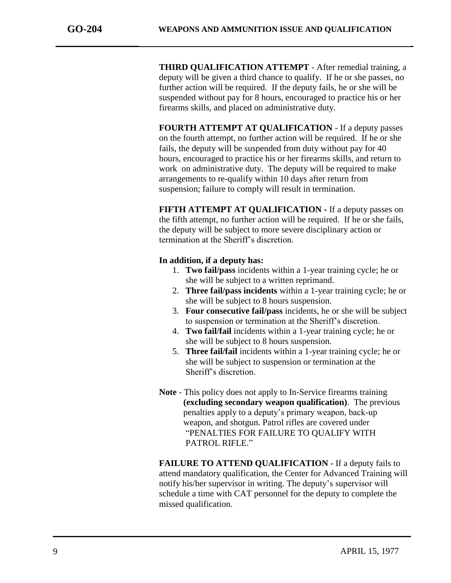**THIRD QUALIFICATION ATTEMPT** - After remedial training, a deputy will be given a third chance to qualify. If he or she passes, no further action will be required. If the deputy fails, he or she will be suspended without pay for 8 hours, encouraged to practice his or her firearms skills, and placed on administrative duty.

**FOURTH ATTEMPT AT QUALIFICATION** - If a deputy passes on the fourth attempt, no further action will be required. If he or she fails, the deputy will be suspended from duty without pay for 40 hours, encouraged to practice his or her firearms skills, and return to work on administrative duty. The deputy will be required to make arrangements to re-qualify within 10 days after return from suspension; failure to comply will result in termination.

**FIFTH ATTEMPT AT QUALIFICATION -** If a deputy passes on the fifth attempt, no further action will be required. If he or she fails, the deputy will be subject to more severe disciplinary action or termination at the Sheriff's discretion.

### **In addition, if a deputy has:**

- 1. **Two fail/pass** incidents within a 1-year training cycle; he or she will be subject to a written reprimand.
- 2. **Three fail/pass incidents** within a 1-year training cycle; he or she will be subject to 8 hours suspension.
- 3. **Four consecutive fail/pass** incidents, he or she will be subject to suspension or termination at the Sheriff's discretion.
- 4. **Two fail/fail** incidents within a 1-year training cycle; he or she will be subject to 8 hours suspension.
- 5. **Three fail/fail** incidents within a 1-year training cycle; he or she will be subject to suspension or termination at the Sheriff's discretion.
- **Note** This policy does not apply to In-Service firearms training **(excluding secondary weapon qualification)**. The previous penalties apply to a deputy's primary weapon, back-up weapon, and shotgun. Patrol rifles are covered under "PENALTIES FOR FAILURE TO QUALIFY WITH PATROL RIFLE."

**FAILURE TO ATTEND QUALIFICATION** - If a deputy fails to attend mandatory qualification, the Center for Advanced Training will notify his/her supervisor in writing. The deputy's supervisor will schedule a time with CAT personnel for the deputy to complete the missed qualification.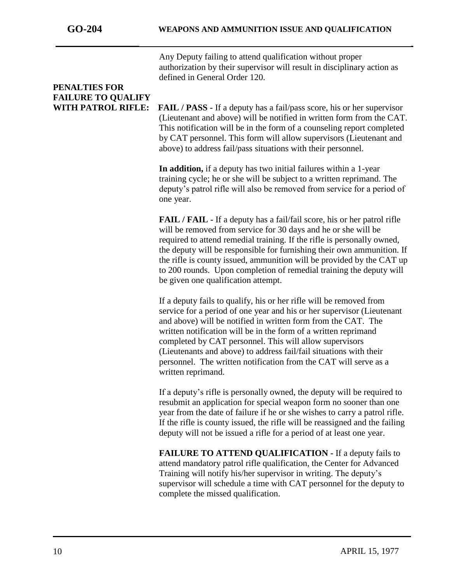Any Deputy failing to attend qualification without proper authorization by their supervisor will result in disciplinary action as defined in General Order 120.

### **PENALTIES FOR FAILURE TO QUALIFY**

**WITH PATROL RIFLE: FAIL / PASS -** If a deputy has a fail/pass score, his or her supervisor (Lieutenant and above) will be notified in written form from the CAT. This notification will be in the form of a counseling report completed by CAT personnel. This form will allow supervisors (Lieutenant and above) to address fail/pass situations with their personnel.

> **In addition,** if a deputy has two initial failures within a 1-year training cycle; he or she will be subject to a written reprimand. The deputy's patrol rifle will also be removed from service for a period of one year.

> **FAIL / FAIL -** If a deputy has a fail/fail score, his or her patrol rifle will be removed from service for 30 days and he or she will be required to attend remedial training. If the rifle is personally owned, the deputy will be responsible for furnishing their own ammunition. If the rifle is county issued, ammunition will be provided by the CAT up to 200 rounds. Upon completion of remedial training the deputy will be given one qualification attempt.

If a deputy fails to qualify, his or her rifle will be removed from service for a period of one year and his or her supervisor (Lieutenant and above) will be notified in written form from the CAT. The written notification will be in the form of a written reprimand completed by CAT personnel. This will allow supervisors (Lieutenants and above) to address fail/fail situations with their personnel. The written notification from the CAT will serve as a written reprimand.

If a deputy's rifle is personally owned, the deputy will be required to resubmit an application for special weapon form no sooner than one year from the date of failure if he or she wishes to carry a patrol rifle. If the rifle is county issued, the rifle will be reassigned and the failing deputy will not be issued a rifle for a period of at least one year.

**FAILURE TO ATTEND QUALIFICATION -** If a deputy fails to attend mandatory patrol rifle qualification, the Center for Advanced Training will notify his/her supervisor in writing. The deputy's supervisor will schedule a time with CAT personnel for the deputy to complete the missed qualification.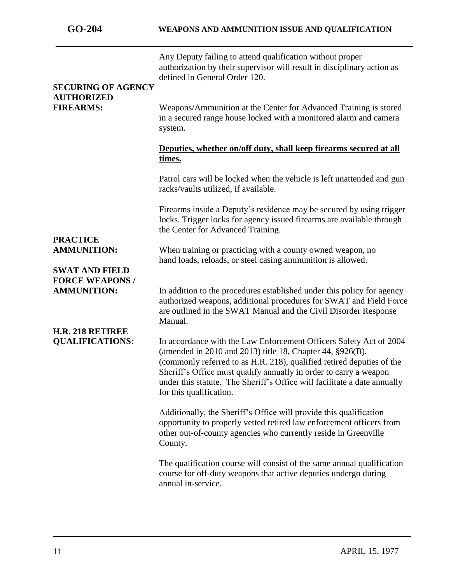| <b>SECURING OF AGENCY</b>                                      | Any Deputy failing to attend qualification without proper<br>authorization by their supervisor will result in disciplinary action as<br>defined in General Order 120.                                                                                                                                                                                                                |
|----------------------------------------------------------------|--------------------------------------------------------------------------------------------------------------------------------------------------------------------------------------------------------------------------------------------------------------------------------------------------------------------------------------------------------------------------------------|
| <b>AUTHORIZED</b><br><b>FIREARMS:</b>                          | Weapons/Ammunition at the Center for Advanced Training is stored<br>in a secured range house locked with a monitored alarm and camera<br>system.                                                                                                                                                                                                                                     |
|                                                                | Deputies, whether on/off duty, shall keep firearms secured at all<br>times.                                                                                                                                                                                                                                                                                                          |
|                                                                | Patrol cars will be locked when the vehicle is left unattended and gun<br>racks/vaults utilized, if available.                                                                                                                                                                                                                                                                       |
|                                                                | Firearms inside a Deputy's residence may be secured by using trigger<br>locks. Trigger locks for agency issued firearms are available through<br>the Center for Advanced Training.                                                                                                                                                                                                   |
| <b>PRACTICE</b><br><b>AMMUNITION:</b><br><b>SWAT AND FIELD</b> | When training or practicing with a county owned weapon, no<br>hand loads, reloads, or steel casing ammunition is allowed.                                                                                                                                                                                                                                                            |
| <b>FORCE WEAPONS /</b><br><b>AMMUNITION:</b>                   | In addition to the procedures established under this policy for agency<br>authorized weapons, additional procedures for SWAT and Field Force<br>are outlined in the SWAT Manual and the Civil Disorder Response<br>Manual.                                                                                                                                                           |
| H.R. 218 RETIREE<br><b>QUALIFICATIONS:</b>                     | In accordance with the Law Enforcement Officers Safety Act of 2004<br>(amended in 2010 and 2013) title 18, Chapter 44, §926(B),<br>(commonly referred to as H.R. 218), qualified retired deputies of the<br>Sheriff's Office must qualify annually in order to carry a weapon<br>under this statute. The Sheriff's Office will facilitate a date annually<br>for this qualification. |
|                                                                | Additionally, the Sheriff's Office will provide this qualification<br>opportunity to properly vetted retired law enforcement officers from<br>other out-of-county agencies who currently reside in Greenville<br>County.                                                                                                                                                             |
|                                                                | The qualification course will consist of the same annual qualification<br>course for off-duty weapons that active deputies undergo during<br>annual in-service.                                                                                                                                                                                                                      |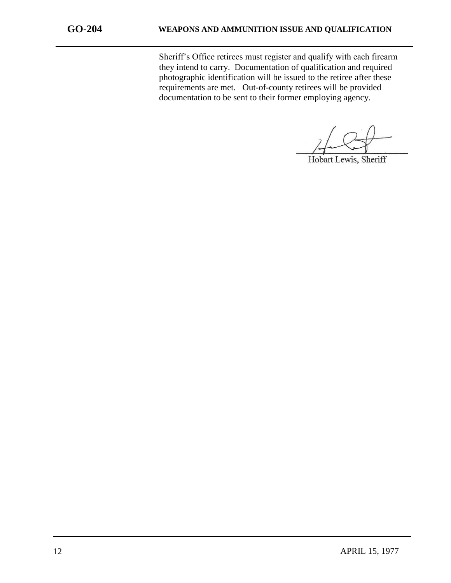Sheriff's Office retirees must register and qualify with each firearm they intend to carry. Documentation of qualification and required photographic identification will be issued to the retiree after these requirements are met. Out-of-county retirees will be provided documentation to be sent to their former employing agency.

Hobart Lewis, Sheriff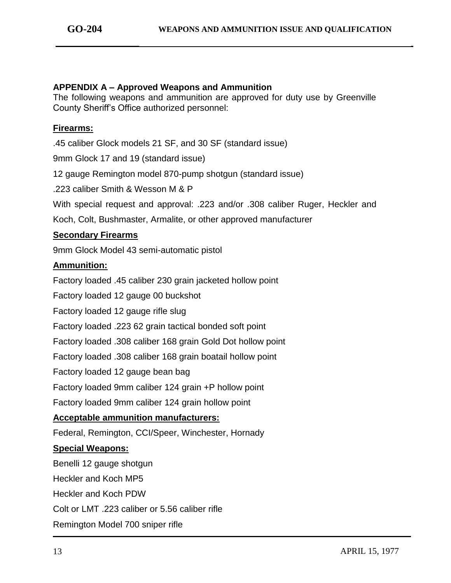### **APPENDIX A – Approved Weapons and Ammunition**

The following weapons and ammunition are approved for duty use by Greenville County Sheriff's Office authorized personnel:

### **Firearms:**

.45 caliber Glock models 21 SF, and 30 SF (standard issue)

9mm Glock 17 and 19 (standard issue)

12 gauge Remington model 870-pump shotgun (standard issue)

.223 caliber Smith & Wesson M & P

With special request and approval: .223 and/or .308 caliber Ruger, Heckler and

Koch, Colt, Bushmaster, Armalite, or other approved manufacturer

### **Secondary Firearms**

9mm Glock Model 43 semi-automatic pistol

### **Ammunition:**

Factory loaded .45 caliber 230 grain jacketed hollow point

Factory loaded 12 gauge 00 buckshot

Factory loaded 12 gauge rifle slug

Factory loaded .223 62 grain tactical bonded soft point

Factory loaded .308 caliber 168 grain Gold Dot hollow point

Factory loaded .308 caliber 168 grain boatail hollow point

Factory loaded 12 gauge bean bag

Factory loaded 9mm caliber 124 grain +P hollow point

Factory loaded 9mm caliber 124 grain hollow point

### **Acceptable ammunition manufacturers:**

Federal, Remington, CCI/Speer, Winchester, Hornady

### **Special Weapons:**

Benelli 12 gauge shotgun

Heckler and Koch MP5

Heckler and Koch PDW

Colt or LMT .223 caliber or 5.56 caliber rifle

Remington Model 700 sniper rifle